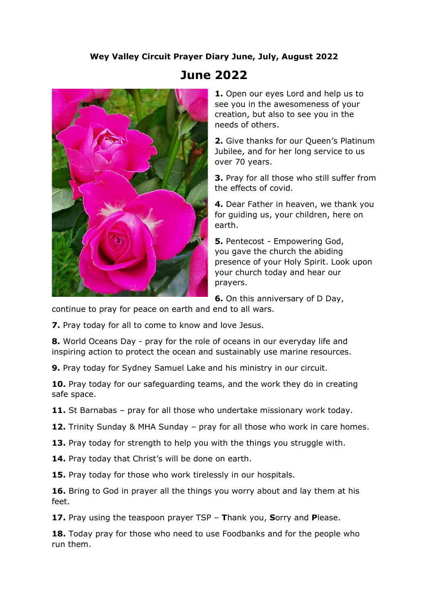## **Wey Valley Circuit Prayer Diary June, July, August 2022**



## **June 2022**

**1.** Open our eyes Lord and help us to see you in the awesomeness of your creation, but also to see you in the needs of others.

**2.** Give thanks for our Queen's Platinum Jubilee, and for her long service to us over 70 years.

**3.** Pray for all those who still suffer from the effects of covid.

**4.** Dear Father in heaven, we thank you for guiding us, your children, here on earth.

**5.** Pentecost - Empowering God, you gave the church the abiding presence of your Holy Spirit. Look upon your church today and hear our prayers.

**6.** On this anniversary of D Day,

continue to pray for peace on earth and end to all wars.

**7.** Pray today for all to come to know and love Jesus.

**8.** World Oceans Day - pray for the role of oceans in our everyday life and inspiring action to protect the ocean and sustainably use marine resources.

**9.** Pray today for Sydney Samuel Lake and his ministry in our circuit.

**10.** Pray today for our safeguarding teams, and the work they do in creating safe space.

**11.** St Barnabas – pray for all those who undertake missionary work today.

**12.** Trinity Sunday & MHA Sunday – pray for all those who work in care homes.

**13.** Pray today for strength to help you with the things you struggle with.

14. Pray today that Christ's will be done on earth.

**15.** Pray today for those who work tirelessly in our hospitals.

**16.** Bring to God in prayer all the things you worry about and lay them at his feet.

**17.** Pray using the teaspoon prayer TSP – **T**hank you, **S**orry and **P**lease.

**18.** Today pray for those who need to use Foodbanks and for the people who run them.